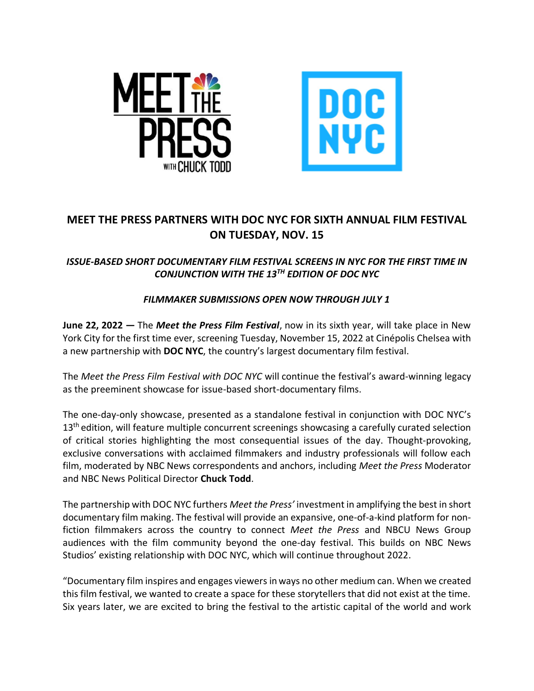



## **MEET THE PRESS PARTNERS WITH DOC NYC FOR SIXTH ANNUAL FILM FESTIVAL ON TUESDAY, NOV. 15**

## *ISSUE-BASED SHORT DOCUMENTARY FILM FESTIVAL SCREENS IN NYC FOR THE FIRST TIME IN CONJUNCTION WITH THE 13TH EDITION OF DOC NYC*

## *FILMMAKER SUBMISSIONS OPEN NOW THROUGH JULY 1*

**June 22, 2022 —** The *Meet the Press Film Festival*, now in its sixth year, will take place in New York City for the first time ever, screening Tuesday, November 15, 2022 at Cinépolis Chelsea with a new partnership with **DOC NYC**, the country's largest documentary film festival.

The *Meet the Press Film Festival with DOC NYC* will continue the festival's award-winning legacy as the preeminent showcase for issue-based short-documentary films.

The one-day-only showcase, presented as a standalone festival in conjunction with DOC NYC's 13<sup>th</sup> edition, will feature multiple concurrent screenings showcasing a carefully curated selection of critical stories highlighting the most consequential issues of the day. Thought-provoking, exclusive conversations with acclaimed filmmakers and industry professionals will follow each film, moderated by NBC News correspondents and anchors, including *Meet the Press* Moderator and NBC News Political Director **Chuck Todd**.

The partnership with DOC NYC furthers *Meet the Press'* investment in amplifying the best in short documentary film making. The festival will provide an expansive, one-of-a-kind platform for nonfiction filmmakers across the country to connect *Meet the Press* and NBCU News Group audiences with the film community beyond the one-day festival. This builds on NBC News Studios' existing relationship with DOC NYC, which will continue throughout 2022.

"Documentary film inspires and engages viewers in ways no other medium can. When we created this film festival, we wanted to create a space for these storytellers that did not exist at the time. Six years later, we are excited to bring the festival to the artistic capital of the world and work